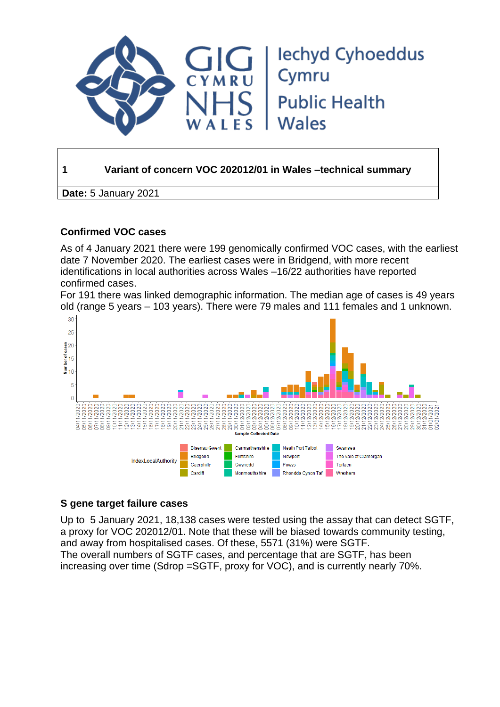

## **1 Variant of concern VOC 202012/01 in Wales –technical summary**

**Date:** 5 January 2021

## **Confirmed VOC cases**

As of 4 January 2021 there were 199 genomically confirmed VOC cases, with the earliest date 7 November 2020. The earliest cases were in Bridgend, with more recent identifications in local authorities across Wales –16/22 authorities have reported confirmed cases.

For 191 there was linked demographic information. The median age of cases is 49 years old (range 5 years – 103 years). There were 79 males and 111 females and 1 unknown.



## **S gene target failure cases**

Up to 5 January 2021, 18,138 cases were tested using the assay that can detect SGTF, a proxy for VOC 202012/01. Note that these will be biased towards community testing, and away from hospitalised cases. Of these, 5571 (31%) were SGTF. The overall numbers of SGTF cases, and percentage that are SGTF, has been increasing over time (Sdrop =SGTF, proxy for VOC), and is currently nearly 70%.